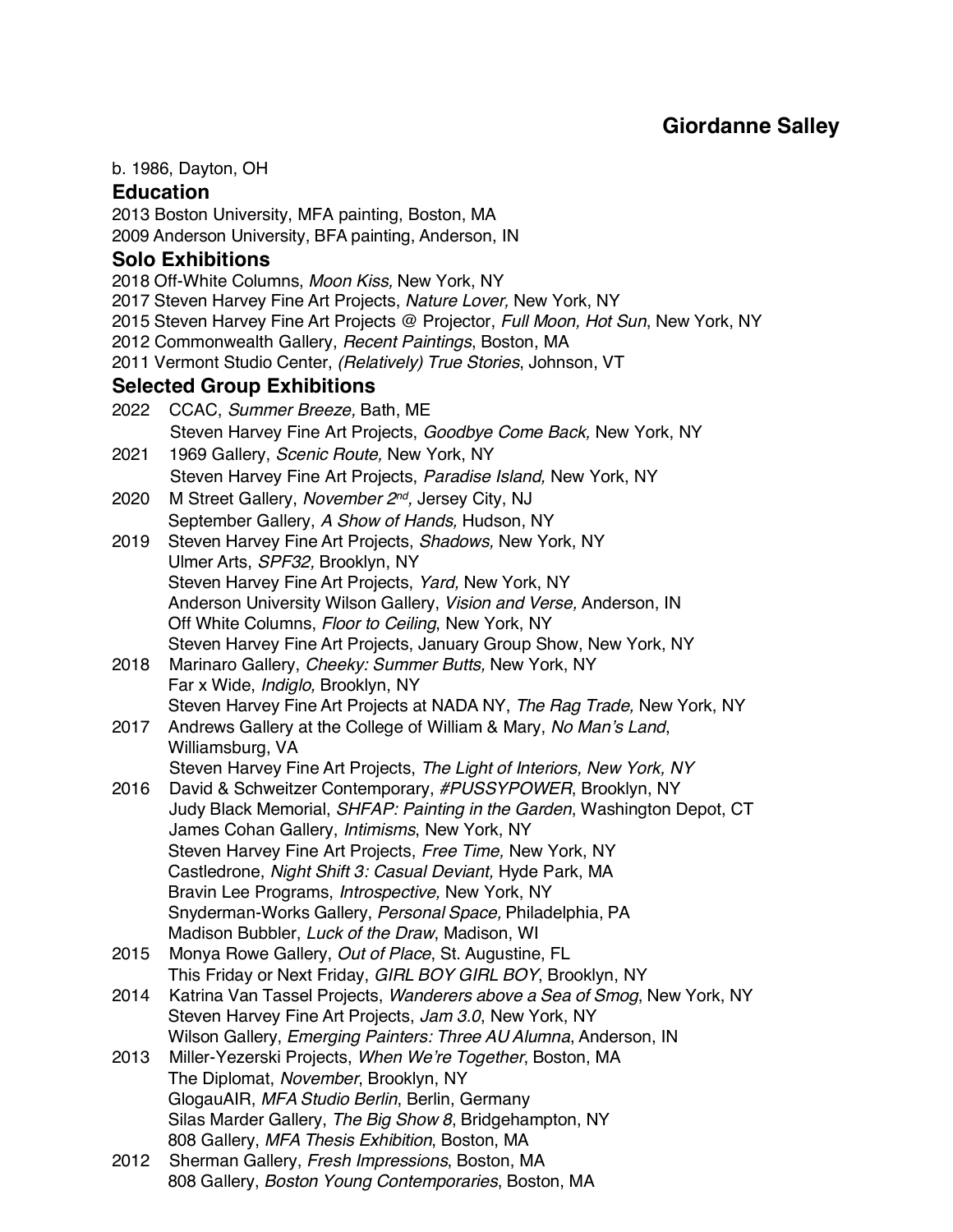# **Giordanne Salley**

#### b. 1986, Dayton, OH

### **Education**

2013 Boston University, MFA painting, Boston, MA 2009 Anderson University, BFA painting, Anderson, IN

# **Solo Exhibitions**

2018 Off-White Columns, *Moon Kiss,* New York, NY 2017 Steven Harvey Fine Art Projects, *Nature Lover,* New York, NY 2015 Steven Harvey Fine Art Projects @ Projector, *Full Moon, Hot Sun*, New York, NY 2012 Commonwealth Gallery, *Recent Paintings*, Boston, MA 2011 Vermont Studio Center, *(Relatively) True Stories*, Johnson, VT **Selected Group Exhibitions** 2022 CCAC, *Summer Breeze,* Bath, ME Steven Harvey Fine Art Projects, *Goodbye Come Back,* New York, NY 2021 1969 Gallery, *Scenic Route,* New York, NY Steven Harvey Fine Art Projects, *Paradise Island,* New York, NY 2020 M Street Gallery, *November 2nd,* Jersey City, NJ September Gallery, *A Show of Hands,* Hudson, NY 2019 Steven Harvey Fine Art Projects, *Shadows,* New York, NY Ulmer Arts, *SPF32,* Brooklyn, NY Steven Harvey Fine Art Projects, *Yard,* New York, NY Anderson University Wilson Gallery, *Vision and Verse,* Anderson, IN Off White Columns, *Floor to Ceiling*, New York, NY Steven Harvey Fine Art Projects, January Group Show, New York, NY 2018 Marinaro Gallery, *Cheeky: Summer Butts,* New York, NY Far x Wide, *Indiglo,* Brooklyn, NY Steven Harvey Fine Art Projects at NADA NY, *The Rag Trade,* New York, NY 2017 Andrews Gallery at the College of William & Mary, *No Man's Land*, Williamsburg, VA Steven Harvey Fine Art Projects, *The Light of Interiors, New York, NY* 2016 David & Schweitzer Contemporary, *#PUSSYPOWER*, Brooklyn, NY Judy Black Memorial, *SHFAP: Painting in the Garden*, Washington Depot, CT James Cohan Gallery, *Intimisms*, New York, NY Steven Harvey Fine Art Projects, *Free Time,* New York, NY Castledrone, *Night Shift 3: Casual Deviant,* Hyde Park, MA Bravin Lee Programs, *Introspective,* New York, NY Snyderman-Works Gallery, *Personal Space,* Philadelphia, PA Madison Bubbler, *Luck of the Draw*, Madison, WI 2015 Monya Rowe Gallery, *Out of Place*, St. Augustine, FL This Friday or Next Friday, *GIRL BOY GIRL BOY*, Brooklyn, NY 2014 Katrina Van Tassel Projects, *Wanderers above a Sea of Smog*, New York, NY Steven Harvey Fine Art Projects, *Jam 3.0*, New York, NY Wilson Gallery, *Emerging Painters: Three AU Alumna*, Anderson, IN 2013 Miller-Yezerski Projects, *When We're Together*, Boston, MA The Diplomat, *November*, Brooklyn, NY GlogauAIR, *MFA Studio Berlin*, Berlin, Germany Silas Marder Gallery, *The Big Show 8*, Bridgehampton, NY 808 Gallery, *MFA Thesis Exhibition*, Boston, MA 2012 Sherman Gallery, *Fresh Impressions*, Boston, MA 808 Gallery, *Boston Young Contemporaries*, Boston, MA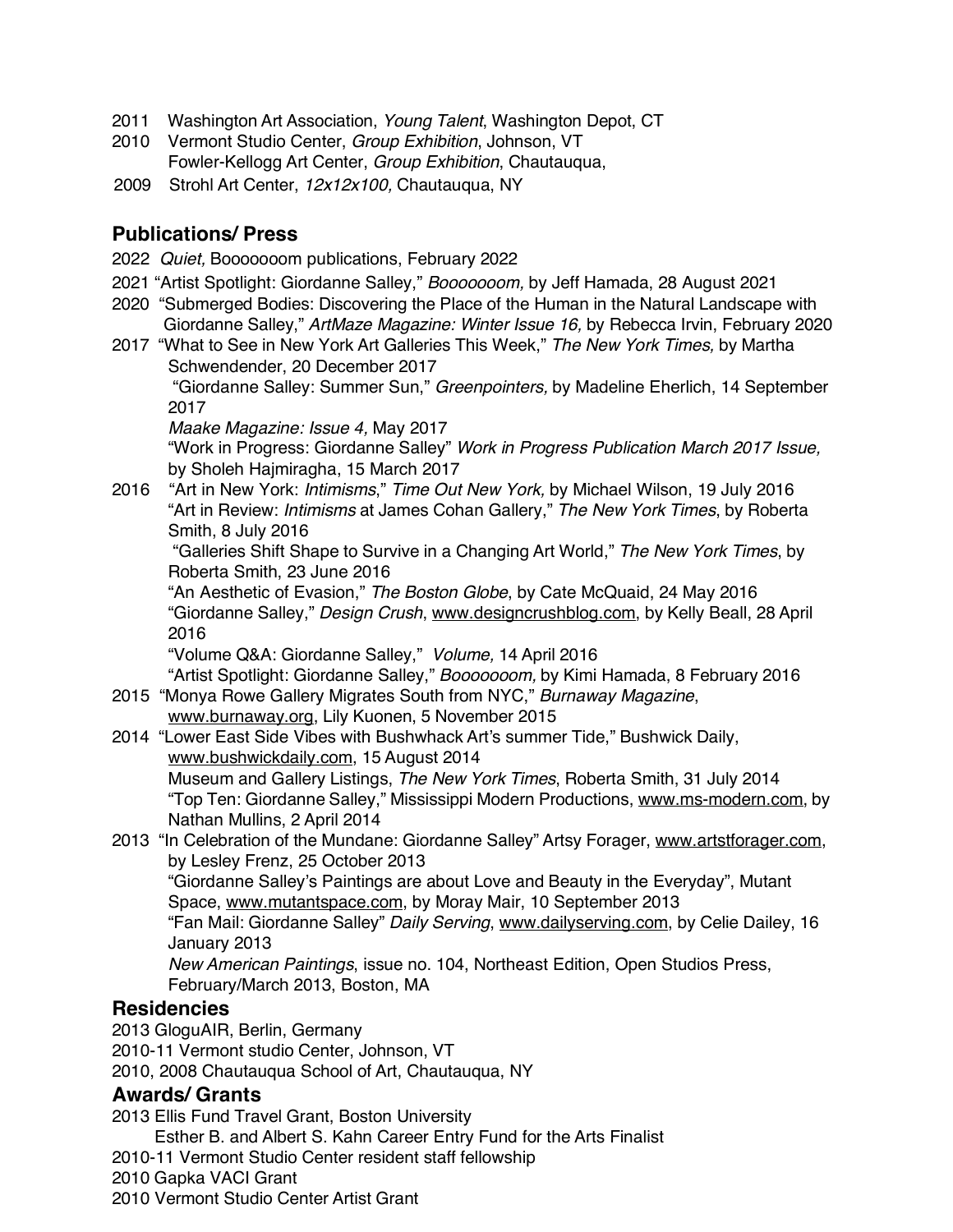- 2011 Washington Art Association, *Young Talent*, Washington Depot, CT
- 2010 Vermont Studio Center, *Group Exhibition*, Johnson, VT Fowler-Kellogg Art Center, *Group Exhibition*, Chautauqua,
- 2009 Strohl Art Center, *12x12x100,* Chautauqua, NY

# **Publications/ Press**

- 2022 *Quiet,* Booooooom publications, February 2022
- 2021 "Artist Spotlight: Giordanne Salley," *Booooooom,* by Jeff Hamada, 28 August 2021
- 2020 "Submerged Bodies: Discovering the Place of the Human in the Natural Landscape with Giordanne Salley," *ArtMaze Magazine: Winter Issue 16,* by Rebecca Irvin, February 2020
- 2017 "What to See in New York Art Galleries This Week," *The New York Times,* by Martha Schwendender, 20 December 2017

"Giordanne Salley: Summer Sun," *Greenpointers,* by Madeline Eherlich, 14 September 2017

*Maake Magazine: Issue 4,* May 2017

"Work in Progress: Giordanne Salley" *Work in Progress Publication March 2017 Issue,* by Sholeh Hajmiragha, 15 March 2017

2016 "Art in New York: *Intimisms*," *Time Out New York,* by Michael Wilson, 19 July 2016 "Art in Review: *Intimisms* at James Cohan Gallery," *The New York Times*, by Roberta Smith, 8 July 2016

"Galleries Shift Shape to Survive in a Changing Art World," *The New York Times*, by Roberta Smith, 23 June 2016

"An Aesthetic of Evasion," *The Boston Globe*, by Cate McQuaid, 24 May 2016 "Giordanne Salley," *Design Crush*, www.designcrushblog.com, by Kelly Beall, 28 April 2016

"Volume Q&A: Giordanne Salley," *Volume,* 14 April 2016

"Artist Spotlight: Giordanne Salley," *Booooooom,* by Kimi Hamada, 8 February 2016 2015 "Monya Rowe Gallery Migrates South from NYC," *Burnaway Magazine*,

- www.burnaway.org, Lily Kuonen, 5 November 2015
- 2014 "Lower East Side Vibes with Bushwhack Art's summer Tide," Bushwick Daily, www.bushwickdaily.com, 15 August 2014 Museum and Gallery Listings, *The New York Times*, Roberta Smith, 31 July 2014 "Top Ten: Giordanne Salley," Mississippi Modern Productions, www.ms-modern.com, by Nathan Mullins, 2 April 2014
- 2013 "In Celebration of the Mundane: Giordanne Salley" Artsy Forager, www.artstforager.com, by Lesley Frenz, 25 October 2013 "Giordanne Salley's Paintings are about Love and Beauty in the Everyday", Mutant Space, www.mutantspace.com, by Moray Mair, 10 September 2013 "Fan Mail: Giordanne Salley" *Daily Serving*, www.dailyserving.com, by Celie Dailey, 16 January 2013

*New American Paintings*, issue no. 104, Northeast Edition, Open Studios Press, February/March 2013, Boston, MA

# **Residencies**

2013 GloguAIR, Berlin, Germany 2010-11 Vermont studio Center, Johnson, VT 2010, 2008 Chautauqua School of Art, Chautauqua, NY

# **Awards/ Grants**

2013 Ellis Fund Travel Grant, Boston University

Esther B. and Albert S. Kahn Career Entry Fund for the Arts Finalist 2010-11 Vermont Studio Center resident staff fellowship 2010 Gapka VACI Grant 2010 Vermont Studio Center Artist Grant